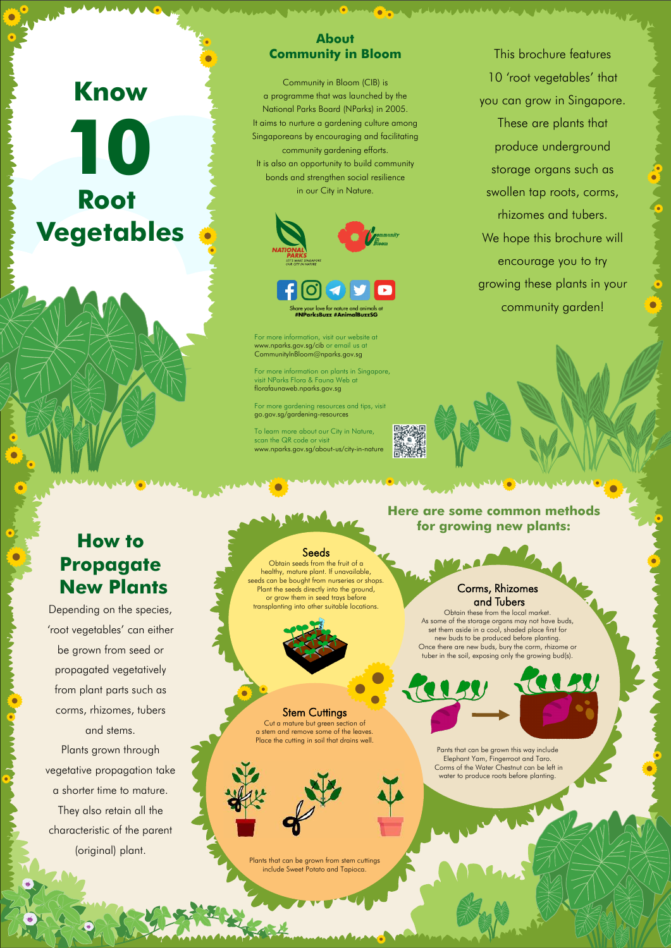# **Know**

**Root Vegetables 10**

> **Here are some common methods for growing new plants:**

 $\bullet$ 

# **How to Propagate New Plants**

Depending on the species, 'root vegetables' can either be grown from seed or propagated vegetatively from plant parts such as corms, rhizomes, tubers

ANY.

**CONTRACTOR** 

# and stems.

Plants grown through vegetative propagation take a shorter time to mature.

> Plants that can be grown from stem cuttings include Sweet Potato and Tapioca.

They also retain all the characteristic of the parent

(original) plant.

Cut a mature but green section of a stem and remove some of the leaves. Place the cutting in soil that drains well.

# Corms, Rhizomes and Tubers

. seeds can be bought from nurseries or shops. Obtain seeds from the fruit of a healthy, mature plant. If unavailable, Plant the seeds directly into the ground, or grow them in seed trays before transplanting into other suitable locations.

**Stem Cuttings** 

Obtain these from the local market. As some of the storage organs may not have buds, set them aside in a cool, shaded place first for new buds to be produced before planting. Once there are new buds, bury the corm, rhizome or tuber in the soil, exposing only the growing bud(s).

> Pants that can be grown this way include Elephant Yam, Fingerroot and Taro. Corms of the Water Chestnut can be left in water to produce roots before planting.



# **About Community in Bloom**

i ol

Community in Bloom (CIB) is a programme that was launched by the National Parks Board (NParks) in 2005. It aims to nurture a gardening culture among Singaporeans by encouraging and facilitating community gardening efforts. It is also an opportunity to build community bonds and strengthen social resilience in our City in Nature.



your love for nature and ar #NParksBuzz #AnimalBuzzSG

For more information, visit our website at www.nparks.gov.sg/cib or email us at CommunityInBloom@nparks.gov.sg

For more information on plants in Singapore, visit NParks Flora & Fauna Web at florafaunaweb.nparks.gov.sg

For more gardening resources and tips, visit go.gov.sg/gardening-resources

To learn more about our City in Nature, scan the QR code or visit www.nparks.gov.sg/about-us/city-in-nature

This brochure features 10 'root vegetables' that you can grow in Singapore. These are plants that produce underground storage organs such as swollen tap roots, corms, rhizomes and tubers. We hope this brochure will encourage you to try growing these plants in your community garden!

**WEATHER AND ARRAIGNMENT AND A**